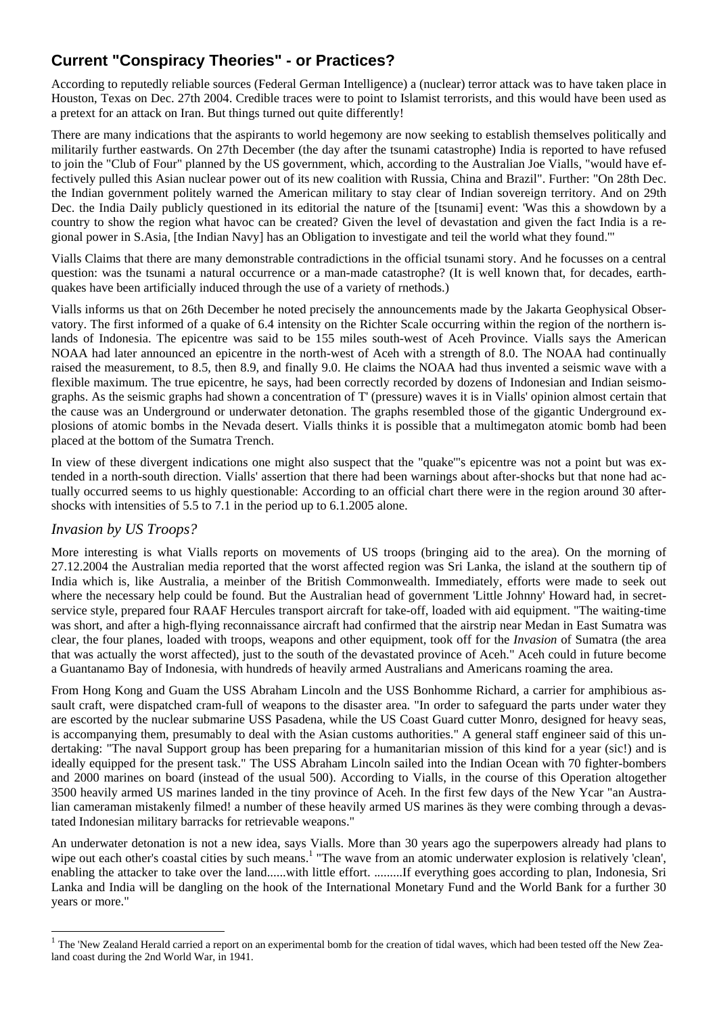## **Current "Conspiracy Theories" - or Practices?**

According to reputedly reliable sources (Federal German Intelligence) a (nuclear) terror attack was to have taken place in Houston, Texas on Dec. 27th 2004. Credible traces were to point to Islamist terrorists, and this would have been used as a pretext for an attack on Iran. But things turned out quite differently!

There are many indications that the aspirants to world hegemony are now seeking to establish themselves politically and militarily further eastwards. On 27th December (the day after the tsunami catastrophe) India is reported to have refused to join the "Club of Four" planned by the US government, which, according to the Australian Joe Vialls, "would have effectively pulled this Asian nuclear power out of its new coalition with Russia, China and Brazil". Further: "On 28th Dec. the Indian government politely warned the American military to stay clear of Indian sovereign territory. And on 29th Dec. the India Daily publicly questioned in its editorial the nature of the [tsunami] event: 'Was this a showdown by a country to show the region what havoc can be created? Given the level of devastation and given the fact India is a regional power in S.Asia, [the Indian Navy] has an Obligation to investigate and teil the world what they found.'"

Vialls Claims that there are many demonstrable contradictions in the official tsunami story. And he focusses on a central question: was the tsunami a natural occurrence or a man-made catastrophe? (It is well known that, for decades, earthquakes have been artificially induced through the use of a variety of rnethods.)

Vialls informs us that on 26th December he noted precisely the announcements made by the Jakarta Geophysical Observatory. The first informed of a quake of 6.4 intensity on the Richter Scale occurring within the region of the northern islands of Indonesia. The epicentre was said to be 155 miles south-west of Aceh Province. Vialls says the American NOAA had later announced an epicentre in the north-west of Aceh with a strength of 8.0. The NOAA had continually raised the measurement, to 8.5, then 8.9, and finally 9.0. He claims the NOAA had thus invented a seismic wave with a flexible maximum. The true epicentre, he says, had been correctly recorded by dozens of Indonesian and Indian seismographs. As the seismic graphs had shown a concentration of T' (pressure) waves it is in Vialls' opinion almost certain that the cause was an Underground or underwater detonation. The graphs resembled those of the gigantic Underground explosions of atomic bombs in the Nevada desert. Vialls thinks it is possible that a multimegaton atomic bomb had been placed at the bottom of the Sumatra Trench.

In view of these divergent indications one might also suspect that the "quake"'s epicentre was not a point but was extended in a north-south direction. Vialls' assertion that there had been warnings about after-shocks but that none had actually occurred seems to us highly questionable: According to an official chart there were in the region around 30 aftershocks with intensities of 5.5 to 7.1 in the period up to 6.1.2005 alone.

## *Invasion by US Troops?*

l

More interesting is what Vialls reports on movements of US troops (bringing aid to the area). On the morning of 27.12.2004 the Australian media reported that the worst affected region was Sri Lanka, the island at the southern tip of India which is, like Australia, a meinber of the British Commonwealth. Immediately, efforts were made to seek out where the necessary help could be found. But the Australian head of government 'Little Johnny' Howard had, in secretservice style, prepared four RAAF Hercules transport aircraft for take-off, loaded with aid equipment. "The waiting-time was short, and after a high-flying reconnaissance aircraft had confirmed that the airstrip near Medan in East Sumatra was clear, the four planes, loaded with troops, weapons and other equipment, took off for the *Invasion* of Sumatra (the area that was actually the worst affected), just to the south of the devastated province of Aceh." Aceh could in future become a Guantanamo Bay of Indonesia, with hundreds of heavily armed Australians and Americans roaming the area.

From Hong Kong and Guam the USS Abraham Lincoln and the USS Bonhomme Richard, a carrier for amphibious assault craft, were dispatched cram-full of weapons to the disaster area. "In order to safeguard the parts under water they are escorted by the nuclear submarine USS Pasadena, while the US Coast Guard cutter Monro, designed for heavy seas, is accompanying them, presumably to deal with the Asian customs authorities." A general staff engineer said of this undertaking: "The naval Support group has been preparing for a humanitarian mission of this kind for a year (sic!) and is ideally equipped for the present task." The USS Abraham Lincoln sailed into the Indian Ocean with 70 fighter-bombers and 2000 marines on board (instead of the usual 500). According to Vialls, in the course of this Operation altogether 3500 heavily armed US marines landed in the tiny province of Aceh. In the first few days of the New Ycar "an Australian cameraman mistakenly filmed! a number of these heavily armed US marines äs they were combing through a devastated Indonesian military barracks for retrievable weapons."

An underwater detonation is not a new idea, says Vialls. More than 30 years ago the superpowers already had plans to wipe out each other's coastal cities by such means.<sup>1</sup> "The wave from an atomic underwater explosion is relatively 'clean', enabling the attacker to take over the land......with little effort. .........If everything goes according to plan, Indonesia, Sri Lanka and India will be dangling on the hook of the International Monetary Fund and the World Bank for a further 30 years or more."

<span id="page-0-0"></span> $1$  The 'New Zealand Herald carried a report on an experimental bomb for the creation of tidal waves, which had been tested off the New Zealand coast during the 2nd World War, in 1941.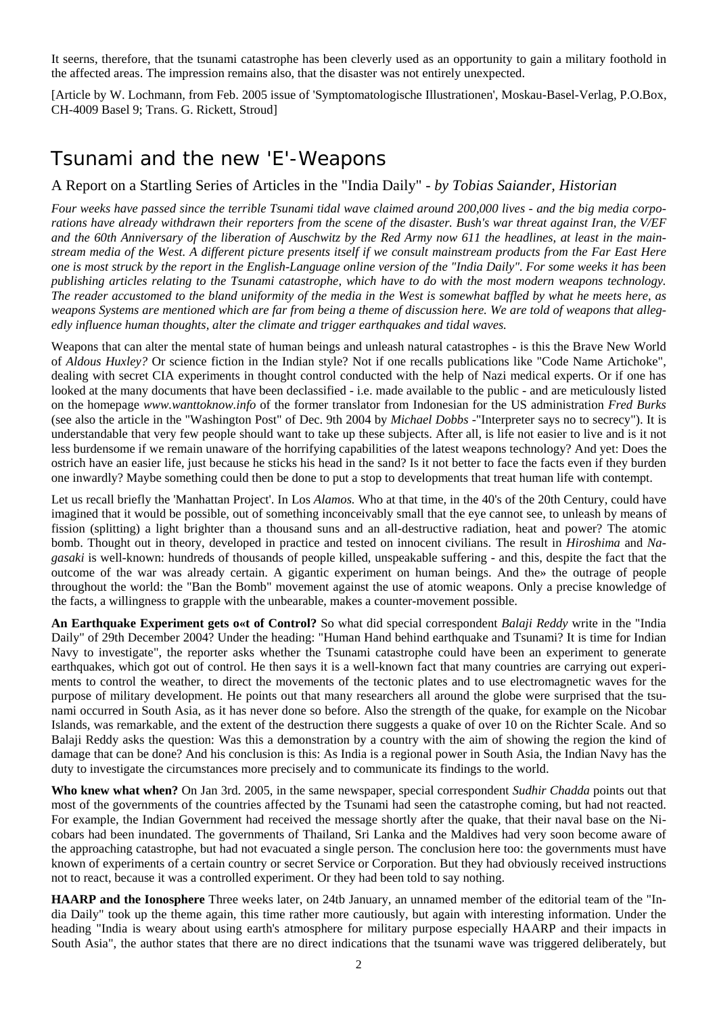It seerns, therefore, that the tsunami catastrophe has been cleverly used as an opportunity to gain a military foothold in the affected areas. The impression remains also, that the disaster was not entirely unexpected.

[Article by W. Lochmann, from Feb. 2005 issue of 'Symptomatologische Illustrationen', Moskau-Basel-Verlag, P.O.Box, CH-4009 Basel 9; Trans. G. Rickett, Stroud]

## Tsunami and the new 'E'-Weapons

## A Report on a Startling Series of Articles in the "India Daily" - *by Tobias Saiander, Historian*

*Four weeks have passed since the terrible Tsunami tidal wave claimed around 200,000 lives - and the big media corporations have already withdrawn their reporters from the scene of the disaster. Bush's war threat against Iran, the V/EF and the 60th Anniversary of the liberation of Auschwitz by the Red Army now 611 the headlines, at least in the mainstream media of the West. A different picture presents itself if we consult mainstream products from the Far East Here one is most struck by the report in the English-Language online version of the "India Daily". For some weeks it has been publishing articles relating to the Tsunami catastrophe, which have to do with the most modern weapons technology. The reader accustomed to the bland uniformity of the media in the West is somewhat baffled by what he meets here, as weapons Systems are mentioned which are far from being a theme of discussion here. We are told of weapons that allegedly influence human thoughts, alter the climate and trigger earthquakes and tidal waves.*

Weapons that can alter the mental state of human beings and unleash natural catastrophes - is this the Brave New World of *Aldous Huxley?* Or science fiction in the Indian style? Not if one recalls publications like "Code Name Artichoke", dealing with secret CIA experiments in thought control conducted with the help of Nazi medical experts. Or if one has looked at the many documents that have been declassified - i.e. made available to the public - and are meticulously listed on the homepage *www.wanttoknow.info* of the former translator from Indonesian for the US administration *Fred Burks*  (see also the article in the "Washington Post" of Dec. 9th 2004 by *Michael Dobbs -*"Interpreter says no to secrecy"). It is understandable that very few people should want to take up these subjects. After all, is life not easier to live and is it not less burdensome if we remain unaware of the horrifying capabilities of the latest weapons technology? And yet: Does the ostrich have an easier life, just because he sticks his head in the sand? Is it not better to face the facts even if they burden one inwardly? Maybe something could then be done to put a stop to developments that treat human life with contempt.

Let us recall briefly the 'Manhattan Project'. In Los *Alamos.* Who at that time, in the 40's of the 20th Century, could have imagined that it would be possible, out of something inconceivably small that the eye cannot see, to unleash by means of fission (splitting) a light brighter than a thousand suns and an all-destructive radiation, heat and power? The atomic bomb. Thought out in theory, developed in practice and tested on innocent civilians. The result in *Hiroshima* and *Nagasaki* is well-known: hundreds of thousands of people killed, unspeakable suffering - and this, despite the fact that the outcome of the war was already certain. A gigantic experiment on human beings. And the» the outrage of people throughout the world: the "Ban the Bomb" movement against the use of atomic weapons. Only a precise knowledge of the facts, a willingness to grapple with the unbearable, makes a counter-movement possible.

**An Earthquake Experiment gets o«t of Control?** So what did special correspondent *Balaji Reddy* write in the "India Daily" of 29th December 2004? Under the heading: "Human Hand behind earthquake and Tsunami? It is time for Indian Navy to investigate", the reporter asks whether the Tsunami catastrophe could have been an experiment to generate earthquakes, which got out of control. He then says it is a well-known fact that many countries are carrying out experiments to control the weather, to direct the movements of the tectonic plates and to use electromagnetic waves for the purpose of military development. He points out that many researchers all around the globe were surprised that the tsunami occurred in South Asia, as it has never done so before. Also the strength of the quake, for example on the Nicobar Islands, was remarkable, and the extent of the destruction there suggests a quake of over 10 on the Richter Scale. And so Balaji Reddy asks the question: Was this a demonstration by a country with the aim of showing the region the kind of damage that can be done? And his conclusion is this: As India is a regional power in South Asia, the Indian Navy has the duty to investigate the circumstances more precisely and to communicate its findings to the world.

**Who knew what when?** On Jan 3rd. 2005, in the same newspaper, special correspondent *Sudhir Chadda* points out that most of the governments of the countries affected by the Tsunami had seen the catastrophe coming, but had not reacted. For example, the Indian Government had received the message shortly after the quake, that their naval base on the Nicobars had been inundated. The governments of Thailand, Sri Lanka and the Maldives had very soon become aware of the approaching catastrophe, but had not evacuated a single person. The conclusion here too: the governments must have known of experiments of a certain country or secret Service or Corporation. But they had obviously received instructions not to react, because it was a controlled experiment. Or they had been told to say nothing.

**HAARP and the Ionosphere** Three weeks later, on 24tb January, an unnamed member of the editorial team of the "India Daily" took up the theme again, this time rather more cautiously, but again with interesting information. Under the heading "India is weary about using earth's atmosphere for military purpose especially HAARP and their impacts in South Asia", the author states that there are no direct indications that the tsunami wave was triggered deliberately, but